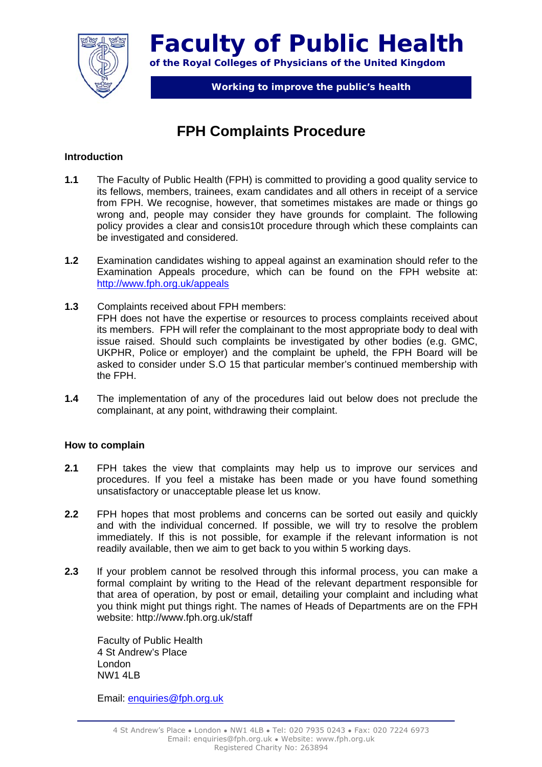

**Faculty of Public Health of the Royal Colleges of Physicians of the United Kingdom** 

**Working to improve the public's health** 

# **FPH Complaints Procedure**

#### **Introduction**

- **1.1** The Faculty of Public Health (FPH) is committed to providing a good quality service to its fellows, members, trainees, exam candidates and all others in receipt of a service from FPH. We recognise, however, that sometimes mistakes are made or things go wrong and, people may consider they have grounds for complaint. The following policy provides a clear and consis10t procedure through which these complaints can be investigated and considered.
- **1.2** Examination candidates wishing to appeal against an examination should refer to the Examination Appeals procedure, which can be found on the FPH website at: http://www.fph.org.uk/appeals
- **1.3** Complaints received about FPH members: FPH does not have the expertise or resources to process complaints received about its members. FPH will refer the complainant to the most appropriate body to deal with issue raised. Should such complaints be investigated by other bodies (e.g. GMC, UKPHR, Police or employer) and the complaint be upheld, the FPH Board will be asked to consider under S.O 15 that particular member's continued membership with the FPH.
- **1.4** The implementation of any of the procedures laid out below does not preclude the complainant, at any point, withdrawing their complaint.

#### **How to complain**

- **2.1** FPH takes the view that complaints may help us to improve our services and procedures. If you feel a mistake has been made or you have found something unsatisfactory or unacceptable please let us know.
- **2.2** FPH hopes that most problems and concerns can be sorted out easily and quickly and with the individual concerned. If possible, we will try to resolve the problem immediately. If this is not possible, for example if the relevant information is not readily available, then we aim to get back to you within 5 working days.
- **2.3** If your problem cannot be resolved through this informal process, you can make a formal complaint by writing to the Head of the relevant department responsible for that area of operation, by post or email, detailing your complaint and including what you think might put things right. The names of Heads of Departments are on the FPH website: http://www.fph.org.uk/staff

 Faculty of Public Health 4 St Andrew's Place London **NW1 4LB** 

Email: enquiries@fph.org.uk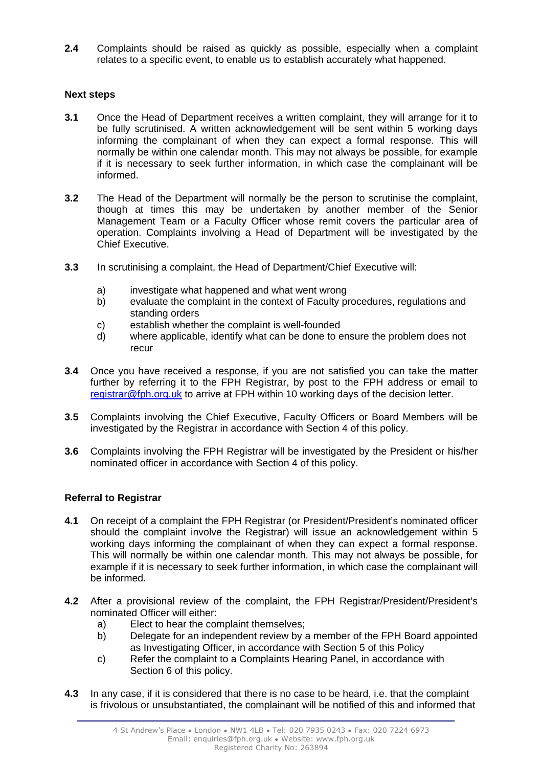**2.4** Complaints should be raised as quickly as possible, especially when a complaint relates to a specific event, to enable us to establish accurately what happened.

## **Next steps**

- **3.1** Once the Head of Department receives a written complaint, they will arrange for it to be fully scrutinised. A written acknowledgement will be sent within 5 working days informing the complainant of when they can expect a formal response. This will normally be within one calendar month. This may not always be possible, for example if it is necessary to seek further information, in which case the complainant will be informed.
- **3.2** The Head of the Department will normally be the person to scrutinise the complaint, though at times this may be undertaken by another member of the Senior Management Team or a Faculty Officer whose remit covers the particular area of operation. Complaints involving a Head of Department will be investigated by the Chief Executive.
- **3.3** In scrutinising a complaint, the Head of Department/Chief Executive will:
	- a) investigate what happened and what went wrong
	- b) evaluate the complaint in the context of Faculty procedures, regulations and standing orders
	- c) establish whether the complaint is well-founded
	- d) where applicable, identify what can be done to ensure the problem does not recur
- **3.4** Once you have received a response, if you are not satisfied you can take the matter further by referring it to the FPH Registrar, by post to the FPH address or email to registrar@fph.org.uk to arrive at FPH within 10 working days of the decision letter.
- **3.5** Complaints involving the Chief Executive, Faculty Officers or Board Members will be investigated by the Registrar in accordance with Section 4 of this policy.
- **3.6** Complaints involving the FPH Registrar will be investigated by the President or his/her nominated officer in accordance with Section 4 of this policy.

## **Referral to Registrar**

- **4.1** On receipt of a complaint the FPH Registrar (or President/President's nominated officer should the complaint involve the Registrar) will issue an acknowledgement within 5 working days informing the complainant of when they can expect a formal response. This will normally be within one calendar month. This may not always be possible, for example if it is necessary to seek further information, in which case the complainant will be informed.
- **4.2** After a provisional review of the complaint, the FPH Registrar/President/President's nominated Officer will either:
	- a) Elect to hear the complaint themselves;
	- b) Delegate for an independent review by a member of the FPH Board appointed as Investigating Officer, in accordance with Section 5 of this Policy
	- c) Refer the complaint to a Complaints Hearing Panel, in accordance with Section 6 of this policy.
- **4.3** In any case, if it is considered that there is no case to be heard, i.e. that the complaint is frivolous or unsubstantiated, the complainant will be notified of this and informed that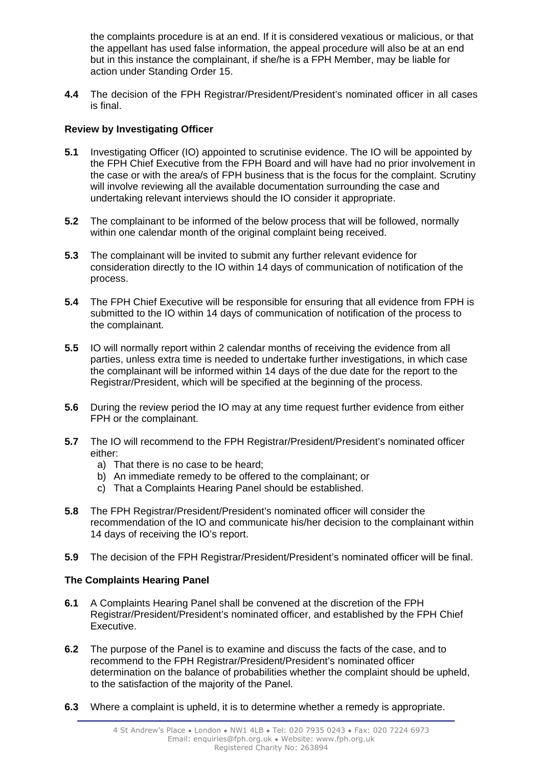the complaints procedure is at an end. If it is considered vexatious or malicious, or that the appellant has used false information, the appeal procedure will also be at an end but in this instance the complainant, if she/he is a FPH Member, may be liable for action under Standing Order 15.

**4.4** The decision of the FPH Registrar/President/President's nominated officer in all cases is final.

## **Review by Investigating Officer**

- **5.1** Investigating Officer (IO) appointed to scrutinise evidence. The IO will be appointed by the FPH Chief Executive from the FPH Board and will have had no prior involvement in the case or with the area/s of FPH business that is the focus for the complaint. Scrutiny will involve reviewing all the available documentation surrounding the case and undertaking relevant interviews should the IO consider it appropriate.
- **5.2** The complainant to be informed of the below process that will be followed, normally within one calendar month of the original complaint being received.
- **5.3** The complainant will be invited to submit any further relevant evidence for consideration directly to the IO within 14 days of communication of notification of the process.
- **5.4** The FPH Chief Executive will be responsible for ensuring that all evidence from FPH is submitted to the IO within 14 days of communication of notification of the process to the complainant.
- **5.5** IO will normally report within 2 calendar months of receiving the evidence from all parties, unless extra time is needed to undertake further investigations, in which case the complainant will be informed within 14 days of the due date for the report to the Registrar/President, which will be specified at the beginning of the process.
- **5.6** During the review period the IO may at any time request further evidence from either FPH or the complainant.
- **5.7** The IO will recommend to the FPH Registrar/President/President's nominated officer either:
	- a) That there is no case to be heard;
	- b) An immediate remedy to be offered to the complainant; or
	- c) That a Complaints Hearing Panel should be established.
- **5.8** The FPH Registrar/President/President's nominated officer will consider the recommendation of the IO and communicate his/her decision to the complainant within 14 days of receiving the IO's report.
- **5.9** The decision of the FPH Registrar/President/President's nominated officer will be final.

## **The Complaints Hearing Panel**

- **6.1** A Complaints Hearing Panel shall be convened at the discretion of the FPH Registrar/President/President's nominated officer, and established by the FPH Chief Executive.
- **6.2** The purpose of the Panel is to examine and discuss the facts of the case, and to recommend to the FPH Registrar/President/President's nominated officer determination on the balance of probabilities whether the complaint should be upheld, to the satisfaction of the majority of the Panel.
- **6.3** Where a complaint is upheld, it is to determine whether a remedy is appropriate.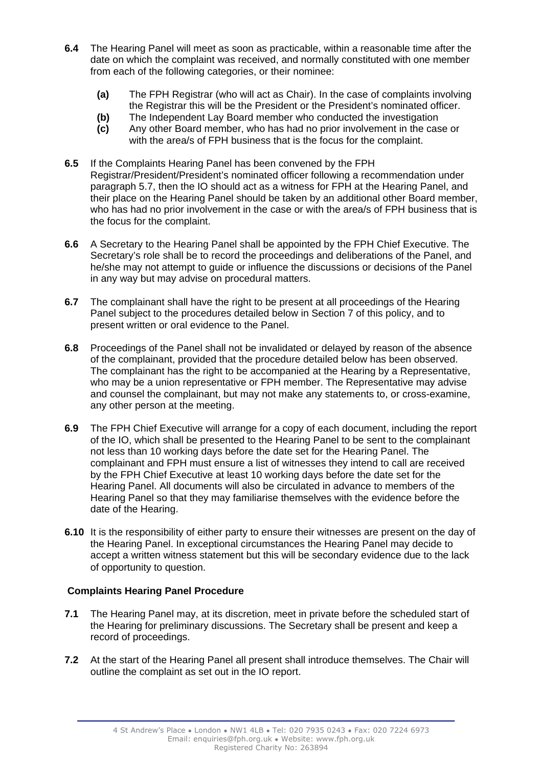- **6.4** The Hearing Panel will meet as soon as practicable, within a reasonable time after the date on which the complaint was received, and normally constituted with one member from each of the following categories, or their nominee:
	- **(a)** The FPH Registrar (who will act as Chair). In the case of complaints involving the Registrar this will be the President or the President's nominated officer.
	- **(b)** The Independent Lay Board member who conducted the investigation
	- **(c)** Any other Board member, who has had no prior involvement in the case or with the area/s of FPH business that is the focus for the complaint.
- **6.5** If the Complaints Hearing Panel has been convened by the FPH Registrar/President/President's nominated officer following a recommendation under paragraph 5.7, then the IO should act as a witness for FPH at the Hearing Panel, and their place on the Hearing Panel should be taken by an additional other Board member, who has had no prior involvement in the case or with the area/s of FPH business that is the focus for the complaint.
- **6.6** A Secretary to the Hearing Panel shall be appointed by the FPH Chief Executive. The Secretary's role shall be to record the proceedings and deliberations of the Panel, and he/she may not attempt to guide or influence the discussions or decisions of the Panel in any way but may advise on procedural matters.
- **6.7** The complainant shall have the right to be present at all proceedings of the Hearing Panel subject to the procedures detailed below in Section 7 of this policy, and to present written or oral evidence to the Panel.
- **6.8** Proceedings of the Panel shall not be invalidated or delayed by reason of the absence of the complainant, provided that the procedure detailed below has been observed. The complainant has the right to be accompanied at the Hearing by a Representative, who may be a union representative or FPH member. The Representative may advise and counsel the complainant, but may not make any statements to, or cross-examine, any other person at the meeting.
- **6.9** The FPH Chief Executive will arrange for a copy of each document, including the report of the IO, which shall be presented to the Hearing Panel to be sent to the complainant not less than 10 working days before the date set for the Hearing Panel. The complainant and FPH must ensure a list of witnesses they intend to call are received by the FPH Chief Executive at least 10 working days before the date set for the Hearing Panel. All documents will also be circulated in advance to members of the Hearing Panel so that they may familiarise themselves with the evidence before the date of the Hearing.
- **6.10** It is the responsibility of either party to ensure their witnesses are present on the day of the Hearing Panel. In exceptional circumstances the Hearing Panel may decide to accept a written witness statement but this will be secondary evidence due to the lack of opportunity to question.

## **Complaints Hearing Panel Procedure**

- **7.1** The Hearing Panel may, at its discretion, meet in private before the scheduled start of the Hearing for preliminary discussions. The Secretary shall be present and keep a record of proceedings.
- **7.2** At the start of the Hearing Panel all present shall introduce themselves. The Chair will outline the complaint as set out in the IO report.